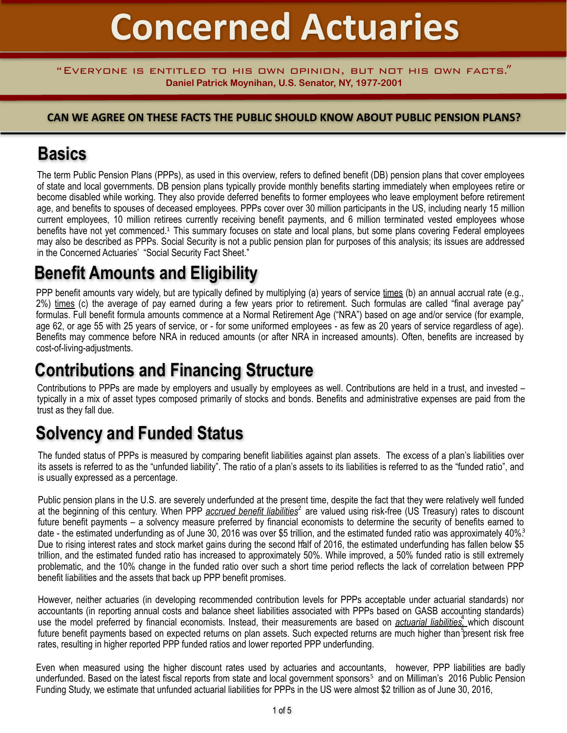# **Concerned Actuaries**

#### "Everyone is entitled to his own opinion, but not his own facts." **Daniel Patrick Moynihan, U.S. Senator, NY, 1977-2001**

#### **CAN WE AGREE ON THESE FACTS THE PUBLIC SHOULD KNOW ABOUT PUBLIC PENSION PLANS?**

## **Basics**

The term Public Pension Plans (PPPs), as used in this overview, refers to defined benefit (DB) pension plans that cover employees of state and local governments. DB pension plans typically provide monthly benefits starting immediately when employees retire or become disabled while working. They also provide deferred benefits to former employees who leave employment before retirement age, and benefits to spouses of deceased employees. PPPs cover over 30 million participants in the US, including nearly 15 million current employees, 10 million retirees currently receiving benefit payments, and 6 million terminated vested employees whose benefits have not yet commenced.<sup>1</sup> This summary focuses on state and local plans, but some plans covering Federal employees may also be described as PPPs. Social Security is not a public pension plan for purposes of this analysis; its issues are addressed in the Concerned Actuaries' "Social Security Fact Sheet."

# **Benefit Amounts and Eligibility**

PPP benefit amounts vary widely, but are typically defined by multiplying (a) years of service times (b) an annual accrual rate (e.g., 2%) times (c) the average of pay earned during a few years prior to retirement. Such formulas are called "final average pay" formulas. Full benefit formula amounts commence at a Normal Retirement Age ("NRA") based on age and/or service (for example, age 62, or age 55 with 25 years of service, or - for some uniformed employees - as few as 20 years of service regardless of age). Benefits may commence before NRA in reduced amounts (or after NRA in increased amounts). Often, benefits are increased by cost-of-living-adjustments.

## **Contributions and Financing Structure**

Contributions to PPPs are made by employers and usually by employees as well. Contributions are held in a trust, and invested – typically in a mix of asset types composed primarily of stocks and bonds. Benefits and administrative expenses are paid from the trust as they fall due.

# **Solvency and Funded Status**

The funded status of PPPs is measured by comparing benefit liabilities against plan assets. The excess of a plan's liabilities over its assets is referred to as the "unfunded liability". The ratio of a plan's assets to its liabilities is referred to as the "funded ratio", and is usually expressed as a percentage.

Public pension plans in the U.S. are severely underfunded at the present time, despite the fact that they were relatively well funded at the beginning of this century. When PPP *accrued benefit liabilities*<sup>2</sup> are valued using risk-free (US Treasury) rates to discount future benefit payments – a solvency measure preferred by financial economists to determine the security of benefits earned to date - the estimated underfunding as of June 30, 2016 was over \$5 trillion, and the estimated funded ratio was approximately 40%<sup>3</sup> Due to rising interest rates and stock market gains during the second half of 2016, the estimated underfunding has fallen below \$5 trillion, and the estimated funded ratio has increased to approximately 50%. While improved, a 50% funded ratio is still extremely problematic, and the 10% change in the funded ratio over such a short time period reflects the lack of correlation between PPP benefit liabilities and the assets that back up PPP benefit promises.

However, neither actuaries (in developing recommended contribution levels for PPPs acceptable under actuarial standards) nor accountants (in reporting annual costs and balance sheet liabilities associated with PPPs based on GASB accounting standards) use the model preferred by financial economists. Instead, their measurements are based on *actuarial liabilities,* which discount 4future benefit payments based on expected returns on plan assets. Such expected returns are much higher than present risk free rates, resulting in higher reported PPP funded ratios and lower reported PPP underfunding.

Even when measured using the higher discount rates used by actuaries and accountants, however, PPP liabilities are badly underfunded. Based on the latest fiscal reports from state and local government sponsors<sup>5</sup> and on Milliman's 2016 Public Pension Funding Study, we estimate that unfunded actuarial liabilities for PPPs in the US were almost \$2 trillion as of June 30, 2016,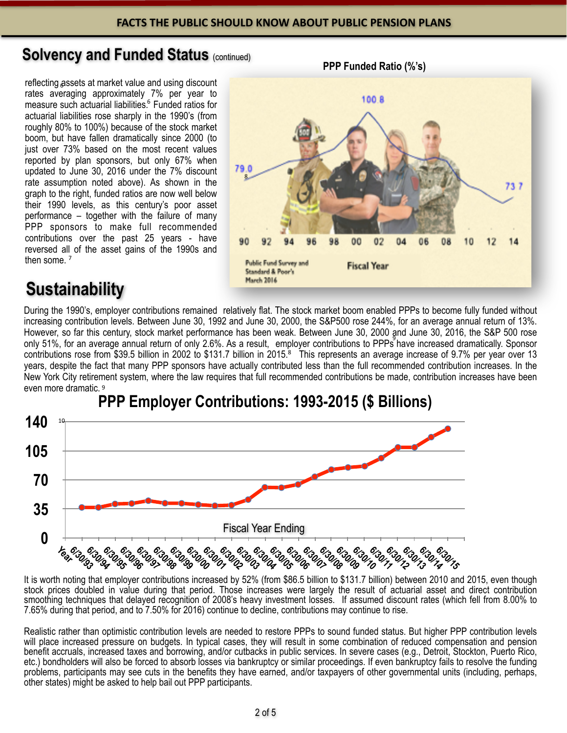## **Solvency and Funded Status (continued)**

reflecting assets at market value and using discount 6 rates averaging approximately 7% per year to measure such actuarial liabilities.<sup>6</sup> Funded ratios for actuarial liabilities rose sharply in the 1990's (from roughly 80% to 100%) because of the stock market boom, but have fallen dramatically since 2000 (to just over 73% based on the most recent values reported by plan sponsors, but only 67% when updated to June 30, 2016 under the 7% discount rate assumption noted above). As shown in the graph to the right, funded ratios are now well below their 1990 levels, as this century's poor asset performance – together with the failure of many PPP sponsors to make full recommended contributions over the past 25 years - have reversed all of the asset gains of the 1990s and then some.<sup>7</sup>



# **Sustainability**

During the 1990's, employer contributions remained relatively flat. The stock market boom enabled PPPs to become fully funded without increasing contribution levels. Between June 30, 1992 and June 30, 2000, the S&P500 rose 244%, for an average annual return of 13%. However, so far this century, stock market performance has been weak. Between June 30, 2000 and June 30, 2016, the S&P 500 rose only 51%, for an average annual return of only 2.6%. As a result, employer contributions to PPPs have increased dramatically. Sponsor contributions rose from \$39.5 billion in 2002 to \$131.7 billion in 2015.<sup>8</sup> This represents an average increase of 9.7% per year over 13 years, despite the fact that many PPP sponsors have actually contributed less than the full recommended contribution increases. In the New York City retirement system, where the law requires that full recommended contributions be made, contribution increases have been even more dramatic. 9



## **PPP Employer Contributions: 1993-2015 (\$ Billions)**

It is worth noting that employer contributions increased by 52% (from \$86.5 billion to \$131.7 billion) between 2010 and 2015, even though stock prices doubled in value during that period. Those increases were largely the result of actuarial asset and direct contribution smoothing techniques that delayed recognition of 2008's heavy investment losses. If assumed discount rates (which fell from 8.00% to 7.65% during that period, and to 7.50% for 2016) continue to decline, contributions may continue to rise.

Realistic rather than optimistic contribution levels are needed to restore PPPs to sound funded status. But higher PPP contribution levels will place increased pressure on budgets. In typical cases, they will result in some combination of reduced compensation and pension benefit accruals, increased taxes and borrowing, and/or cutbacks in public services. In severe cases (e.g., Detroit, Stockton, Puerto Rico, etc.) bondholders will also be forced to absorb losses via bankruptcy or similar proceedings. If even bankruptcy fails to resolve the funding problems, participants may see cuts in the benefits they have earned, and/or taxpayers of other governmental units (including, perhaps, other states) might be asked to help bail out PPP participants.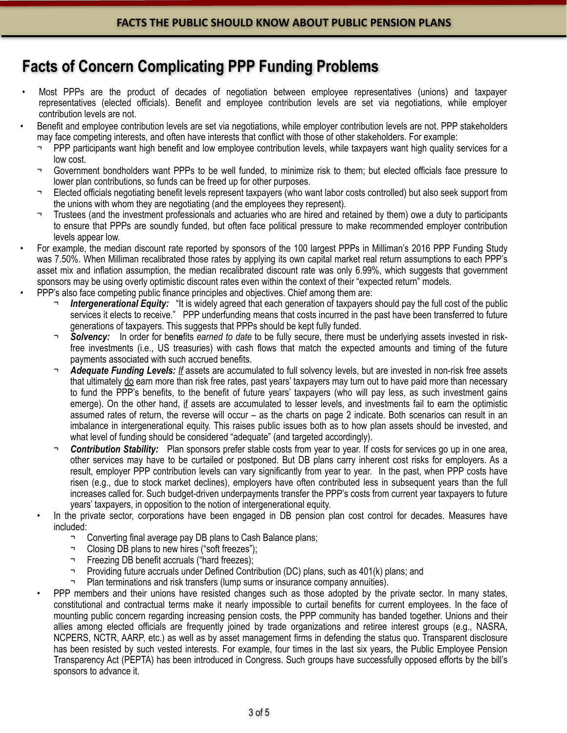## **Facts of Concern Complicating PPP Funding Problems**

- Most PPPs are the product of decades of negotiation between employee representatives (unions) and taxpayer representatives (elected officials). Benefit and employee contribution levels are set via negotiations, while employer contribution levels are not.
- Benefit and employee contribution levels are set via negotiations, while employer contribution levels are not. PPP stakeholders may face competing interests, and often have interests that conflict with those of other stakeholders. For example:
	- PPP participants want high benefit and low employee contribution levels, while taxpayers want high quality services for a low cost.
	- Government bondholders want PPPs to be well funded, to minimize risk to them; but elected officials face pressure to lower plan contributions, so funds can be freed up for other purposes.
	- Elected officials negotiating benefit levels represent taxpayers (who want labor costs controlled) but also seek support from the unions with whom they are negotiating (and the employees they represent).
	- ¬ Trustees (and the investment professionals and actuaries who are hired and retained by them) owe a duty to participants to ensure that PPPs are soundly funded, but often face political pressure to make recommended employer contribution levels appear low.
- For example, the median discount rate reported by sponsors of the 100 largest PPPs in Milliman's 2016 PPP Funding Study was 7.50%. When Milliman recalibrated those rates by applying its own capital market real return assumptions to each PPP's asset mix and inflation assumption, the median recalibrated discount rate was only 6.99%, which suggests that government sponsors may be using overly optimistic discount rates even within the context of their "expected return" models.
- PPP's also face competing public finance principles and objectives. Chief among them are:
	- **Intergenerational Equity:** "It is widely agreed that each generation of taxpayers should pay the full cost of the public services it elects to receive." PPP underfunding means that costs incurred in the past have been transferred to future generations of taxpayers. This suggests that PPPs should be kept fully funded.
	- ¬ *Solvency:* In order for benefits *earned to date* to be fully secure, there must be underlying assets invested in risk-10free investments (i.e., US treasuries) with cash flows that match the expected amounts and timing of the future payments associated with such accrued benefits.
	- Adequate Funding Levels: If assets are accumulated to full solvency levels, but are invested in non-risk free assets that ultimately do earn more than risk free rates, past years' taxpayers may turn out to have paid more than necessary to fund the PPP's benefits, to the benefit of future years' taxpayers (who will pay less, as such investment gains emerge). On the other hand, if assets are accumulated to lesser levels, and investments fail to earn the optimistic assumed rates of return, the reverse will occur – as the charts on page 2 indicate. Both scenarios can result in an imbalance in intergenerational equity. This raises public issues both as to how plan assets should be invested, and what level of funding should be considered "adequate" (and targeted accordingly).
	- **Contribution Stability:** Plan sponsors prefer stable costs from year to year. If costs for services go up in one area, other services may have to be curtailed or postponed. But DB plans carry inherent cost risks for employers. As a result, employer PPP contribution levels can vary significantly from year to year. In the past, when PPP costs have risen (e.g., due to stock market declines), employers have often contributed less in subsequent years than the full increases called for. Such budget-driven underpayments transfer the PPP's costs from current year taxpayers to future years' taxpayers, in opposition to the notion of intergenerational equity.
	- In the private sector, corporations have been engaged in DB pension plan cost control for decades. Measures have included:
		- ¬ Converting final average pay DB plans to Cash Balance plans;
		- ¬ Closing DB plans to new hires ("soft freezes");
		- ¬ Freezing DB benefit accruals ("hard freezes);
		- ¬ Providing future accruals under Defined Contribution (DC) plans, such as 401(k) plans; and
			- Plan terminations and risk transfers (lump sums or insurance company annuities).
	- PPP members and their unions have resisted changes such as those adopted by the private sector. In many states, constitutional and contractual terms make it nearly impossible to curtail benefits for current employees. In the face of mounting public concern regarding increasing pension costs, the PPP community has banded together. Unions and their allies among elected officials are frequently joined by trade organizations and retiree interest groups (e.g., NASRA, NCPERS, NCTR, AARP, etc.) as well as by asset management firms in defending the status quo. Transparent disclosure has been resisted by such vested interests. For example, four times in the last six years, the Public Employee Pension Transparency Act (PEPTA) has been introduced in Congress. Such groups have successfully opposed efforts by the bill's sponsors to advance it.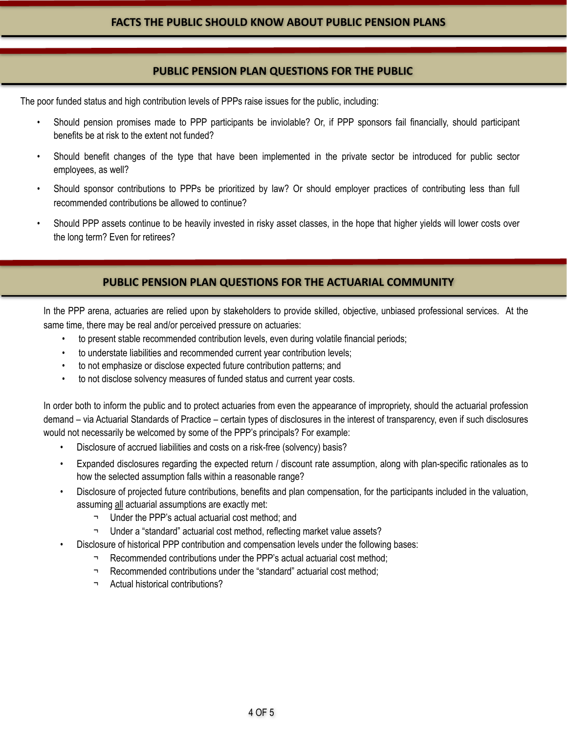#### **PUBLIC PENSION PLAN QUESTIONS FOR THE PUBLIC**

The poor funded status and high contribution levels of PPPs raise issues for the public, including:

- Should pension promises made to PPP participants be inviolable? Or, if PPP sponsors fail financially, should participant benefits be at risk to the extent not funded?
- Should benefit changes of the type that have been implemented in the private sector be introduced for public sector employees, as well?
- Should sponsor contributions to PPPs be prioritized by law? Or should employer practices of contributing less than full recommended contributions be allowed to continue?
- Should PPP assets continue to be heavily invested in risky asset classes, in the hope that higher yields will lower costs over the long term? Even for retirees?

#### **PUBLIC PENSION PLAN QUESTIONS FOR THE ACTUARIAL COMMUNITY**

In the PPP arena, actuaries are relied upon by stakeholders to provide skilled, objective, unbiased professional services. At the same time, there may be real and/or perceived pressure on actuaries:

- to present stable recommended contribution levels, even during volatile financial periods;
- to understate liabilities and recommended current year contribution levels;
- to not emphasize or disclose expected future contribution patterns; and
- to not disclose solvency measures of funded status and current year costs.

In order both to inform the public and to protect actuaries from even the appearance of impropriety, should the actuarial profession demand – via Actuarial Standards of Practice – certain types of disclosures in the interest of transparency, even if such disclosures would not necessarily be welcomed by some of the PPP's principals? For example:

- Disclosure of accrued liabilities and costs on a risk-free (solvency) basis?
- Expanded disclosures regarding the expected return / discount rate assumption, along with plan-specific rationales as to how the selected assumption falls within a reasonable range?
- Disclosure of projected future contributions, benefits and plan compensation, for the participants included in the valuation, assuming all actuarial assumptions are exactly met:
	- ¬ Under the PPP's actual actuarial cost method; and
	- ¬ Under a "standard" actuarial cost method, reflecting market value assets?
- Disclosure of historical PPP contribution and compensation levels under the following bases:
	- ¬ Recommended contributions under the PPP's actual actuarial cost method;
	- ¬ Recommended contributions under the "standard" actuarial cost method;
	- Actual historical contributions?